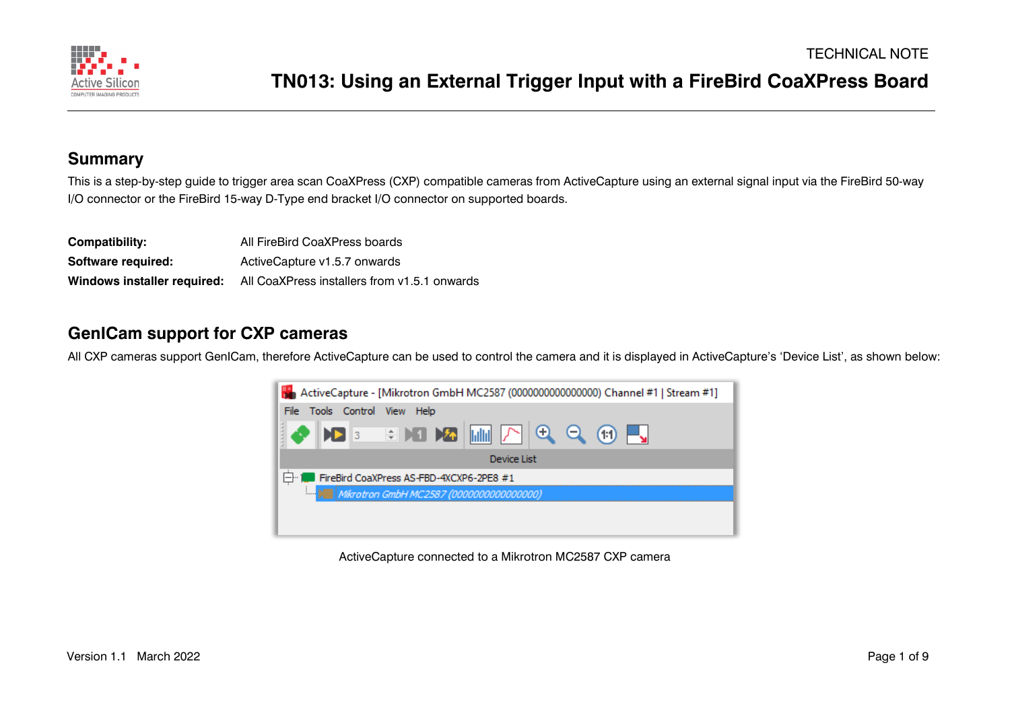

#### **Summary**

This is a step-by-step guide to trigger area scan CoaXPress (CXP) compatible cameras from ActiveCapture using an external signal input via the FireBird 50-way I/O connector or the FireBird 15-way D-Type end bracket I/O connector on supported boards.

| Compatibility:              | All FireBird CoaXPress boards                |
|-----------------------------|----------------------------------------------|
| Software required:          | ActiveCapture v1.5.7 onwards                 |
| Windows installer required: | All CoaXPress installers from v1.5.1 onwards |

#### **GenICam support for CXP cameras**

All CXP cameras support GenICam, therefore ActiveCapture can be used to control the camera and it is displayed in ActiveCapture's 'Device List', as shown below:



ActiveCapture connected to a Mikrotron MC2587 CXP camera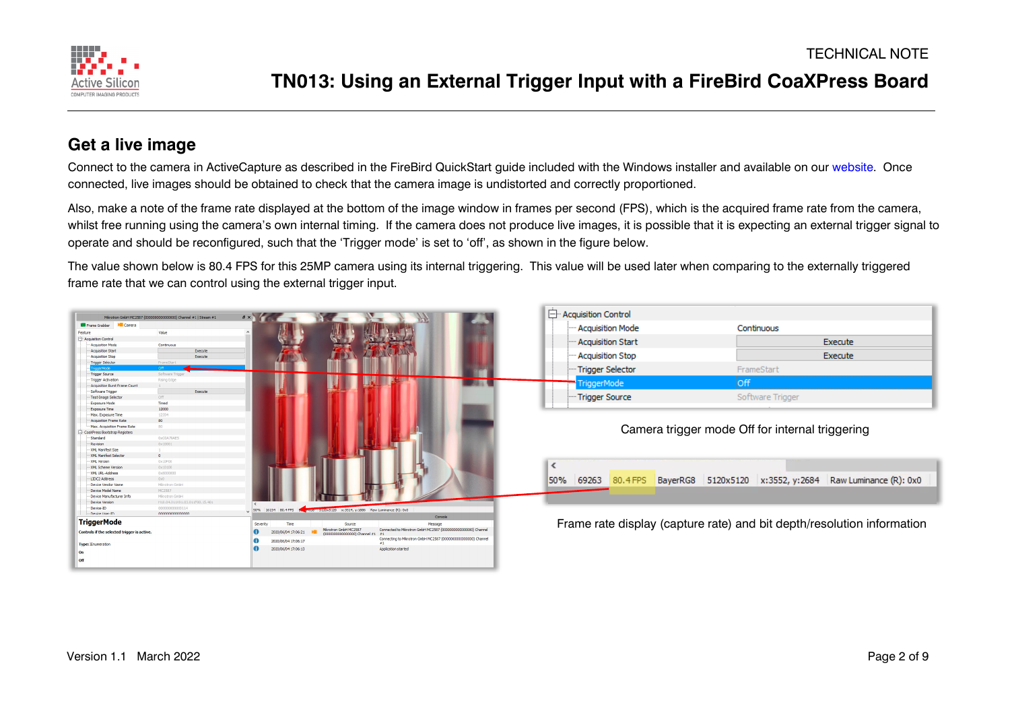

#### **Get a live image**

Connect to the camera in ActiveCapture as described in the FireBird QuickStart quide included with the Windows installer and available on our [website.](https://www.activesilicon.com/) Once connected, live images should be obtained to check that the camera image is undistorted and correctly proportioned.

Also, make a note of the frame rate displayed at the bottom of the image window in frames per second (FPS), which is the acquired frame rate from the camera, whilst free running using the camera's own internal timing. If the camera does not produce live images, it is possible that it is expecting an external trigger signal to operate and should be reconfigured, such that the 'Trigger mode' is set to 'off', as shown in the figure below.

The value shown below is 80.4 FPS for this 25MP camera using its internal triggering. This value will be used later when comparing to the externally triggered frame rate that we can control using the external trigger input.

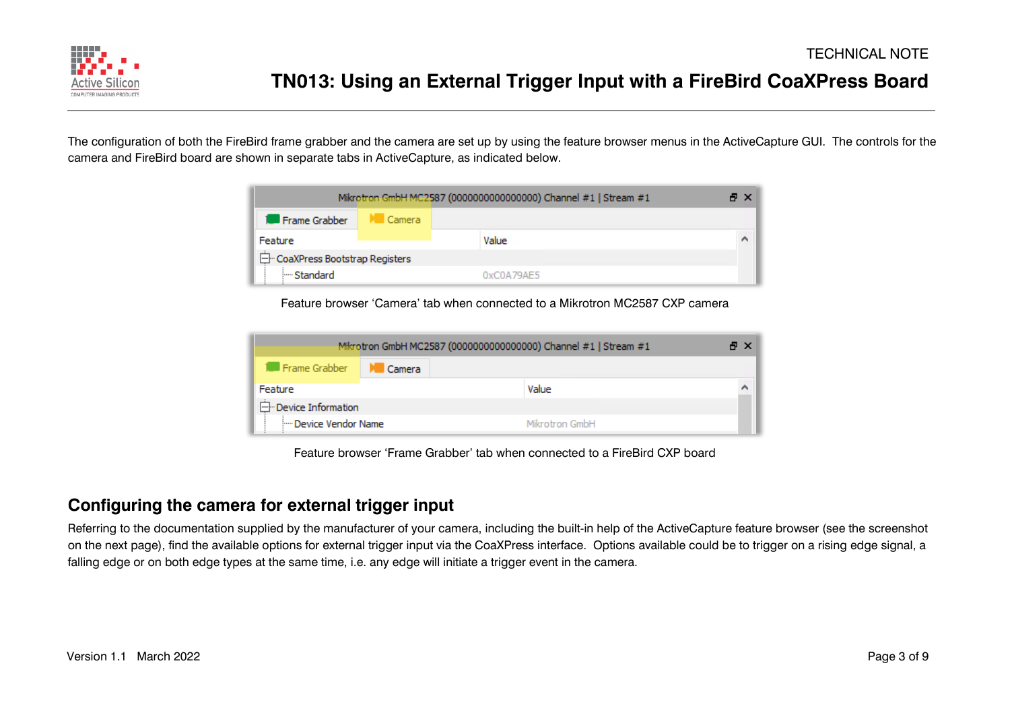

The configuration of both the FireBird frame grabber and the camera are set up by using the feature browser menus in the ActiveCapture GUI. The controls for the camera and FireBird board are shown in separate tabs in ActiveCapture, as indicated below.

|                                 |                       | Mikrotron GmbH MC2587 (00000000000000000) Channel #1   Stream #1 | A X |
|---------------------------------|-----------------------|------------------------------------------------------------------|-----|
| Frame Grabber                   | $\blacksquare$ Camera |                                                                  |     |
| Feature                         |                       | Value                                                            | A   |
| □ CoaXPress Bootstrap Registers |                       |                                                                  |     |
| i--- Standard                   |                       | 0xC0A79AE5                                                       |     |

Feature browser 'Camera' tab when connected to a Mikrotron MC2587 CXP camera

|                              |        | Mikrotron GmbH MC2587 (0000000000000000) Channel #1   Stream #1 | A X |
|------------------------------|--------|-----------------------------------------------------------------|-----|
| <b>1.</b> Frame Grabber      | Camera |                                                                 |     |
| Feature                      |        | Value                                                           |     |
| - Device Information         |        |                                                                 |     |
| <b>Em Device Vendor Name</b> |        | Mikrotron GmbH                                                  |     |

Feature browser 'Frame Grabber' tab when connected to a FireBird CXP board

#### **Configuring the camera for external trigger input**

Referring to the documentation supplied by the manufacturer of your camera, including the built-in help of the ActiveCapture feature browser (see the screenshot on the next page), find the available options for external trigger input via the CoaXPress interface. Options available could be to trigger on a rising edge signal, a falling edge or on both edge types at the same time, i.e. any edge will initiate a trigger event in the camera.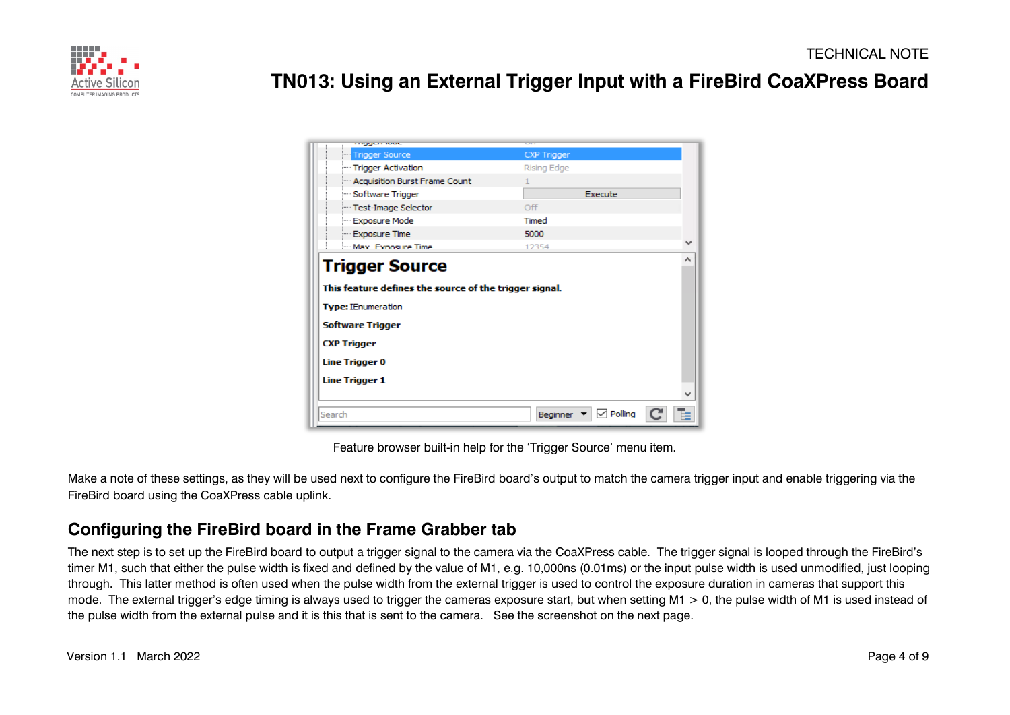

| <b>Trigger Source</b>                                  | <b>CXP Trigger</b> |   |
|--------------------------------------------------------|--------------------|---|
| Trigger Activation                                     | Rising Edge        |   |
| - Acquisition Burst Frame Count                        |                    |   |
| - Software Trigger                                     | Execute            |   |
| Test-Image Selector                                    | Off                |   |
| - Exposure Mode                                        | Timed              |   |
| - Exposure Time                                        | 5000               |   |
| May Exposure Time                                      | 12354              |   |
| This feature defines the source of the trigger signal. |                    |   |
| <b>Type: IEnumeration</b>                              |                    |   |
| <b>Software Trigger</b><br><b>CXP Trigger</b>          |                    |   |
| <b>Line Trigger 0</b>                                  |                    |   |
| <b>Line Trigger 1</b>                                  |                    | w |

Feature browser built-in help for the 'Trigger Source' menu item.

Make a note of these settings, as they will be used next to configure the FireBird board's output to match the camera trigger input and enable triggering via the FireBird board using the CoaXPress cable uplink.

### **Configuring the FireBird board in the Frame Grabber tab**

The next step is to set up the FireBird board to output a trigger signal to the camera via the CoaXPress cable. The trigger signal is looped through the FireBird's timer M1, such that either the pulse width is fixed and defined by the value of M1, e.g. 10,000ns (0.01ms) or the input pulse width is used unmodified, just looping through. This latter method is often used when the pulse width from the external trigger is used to control the exposure duration in cameras that support this mode. The external trigger's edge timing is always used to trigger the cameras exposure start, but when setting  $M1 > 0$ , the pulse width of M1 is used instead of the pulse width from the external pulse and it is this that is sent to the camera. See the screenshot on the next page.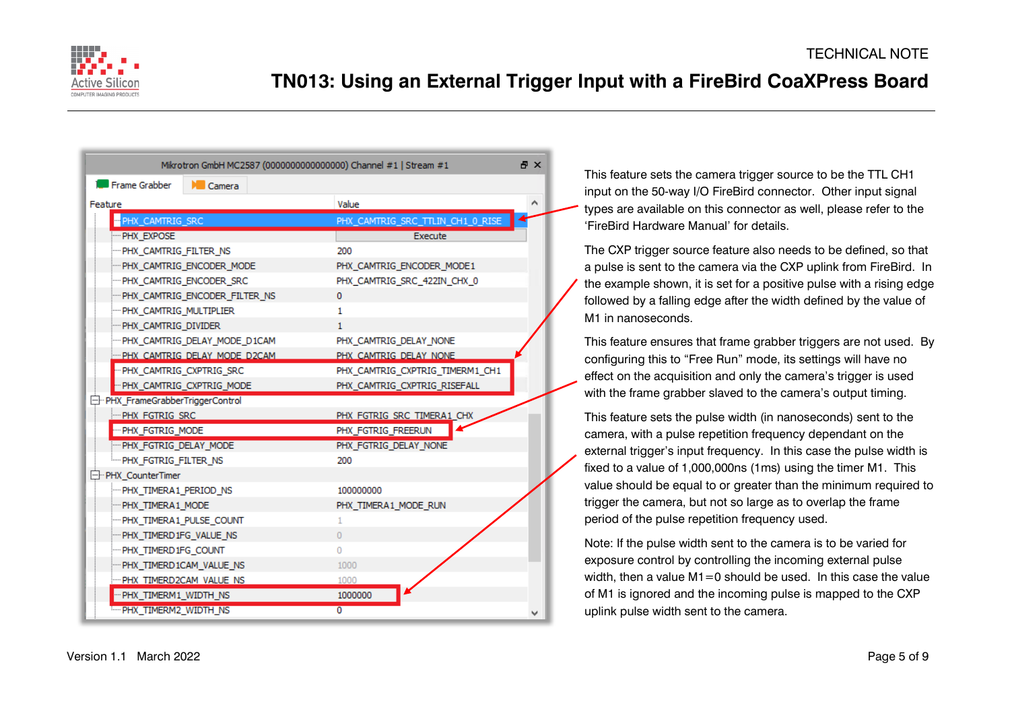

|                                | Mikrotron GmbH MC2587 (0000000000000000) Channel #1   Stream #1 |                                  | 日 X |
|--------------------------------|-----------------------------------------------------------------|----------------------------------|-----|
| Frame Grabber                  | $\mathbb{M}$ Camera                                             |                                  |     |
| Feature                        |                                                                 | Value                            |     |
| PHX_CAMTRIG_SRC                |                                                                 | PHX_CAMTRIG_SRC_TTLIN_CH1_0_RISE |     |
| PHX_EXPOSE                     |                                                                 | Execute                          |     |
| -PHX CAMTRIG FILTER NS         |                                                                 | 200                              |     |
|                                | -PHX CAMTRIG ENCODER MODE                                       | PHX CAMTRIG ENCODER MODE1        |     |
| -PHX CAMTRIG ENCODER SRC       |                                                                 | PHX_CAMTRIG_SRC_422IN_CHX_0      |     |
|                                | -PHX CAMTRIG ENCODER FILTER NS                                  | 0                                |     |
| -PHX CAMTRIG MULTIPLIER        |                                                                 | 1.                               |     |
| -PHX CAMTRIG DIVIDER           |                                                                 | 1.                               |     |
|                                | -PHX CAMTRIG DELAY MODE D1CAM                                   | PHX CAMTRIG DELAY NONE           |     |
|                                | -PHX CAMTRIG DELAY MODE D2CAM                                   | PHX CAMTRIG DELAY NONE           |     |
| - PHX CAMTRIG CXPTRIG SRC      |                                                                 | PHX CAMTRIG CXPTRIG TIMERM1 CH1  |     |
|                                | -- PHX CAMTRIG CXPTRIG MODE                                     | PHX CAMTRIG CXPTRIG RISEFALL     |     |
| PHX FrameGrabberTriggerControl |                                                                 |                                  |     |
| <b>PHX FGTRIG SRC</b>          |                                                                 | PHX FGTRIG SRC TIMERA1 CHX       |     |
| - PHX FGTRIG MODE              |                                                                 | PHX_FGTRIG_FREERUN               |     |
| PHX_FGTRIG_DELAY_MODE          |                                                                 | PHX_FGTRIG_DELAY_NONE            |     |
| - PHX_FGTRIG_FILTER_NS         |                                                                 | 200                              |     |
| -- PHX CounterTimer            |                                                                 |                                  |     |
| PHX_TIMERA1_PERIOD_NS          |                                                                 | 100000000                        |     |
| -PHX TIMERA1 MODE              |                                                                 | PHX_TIMERA1_MODE_RUN             |     |
| -PHX TIMERA1 PULSE COUNT       |                                                                 | 1                                |     |
| PHX_TIMERD1FG_VALUE_NS         |                                                                 | $\Omega$                         |     |
| PHX_TIMERD1FG_COUNT            |                                                                 | O                                |     |
| -PHX TIMERD1CAM VALUE NS       |                                                                 | 1000                             |     |
| -PHX TIMERD2CAM VALUE NS       |                                                                 | 1000                             |     |
| "PHX_TIMERM1_WIDTH_NS          |                                                                 | 1000000                          |     |
| From PHX TIMERM2 WIDTH NS      |                                                                 | $\overline{0}$                   |     |

This feature sets the camera trigger source to be the TTL CH1 input on the 50-way I/O FireBird connector. Other input signal types are available on this connector as well, please refer to the 'FireBird Hardware Manual' for details.

The CXP trigger source feature also needs to be defined, so that a pulse is sent to the camera via the CXP uplink from FireBird. In the example shown, it is set for a positive pulse with a rising edge followed by a falling edge after the width defined by the value of M1 in nanoseconds.

This feature ensures that frame grabber triggers are not used. By configuring this to "Free Run" mode, its settings will have no effect on the acquisition and only the camera's trigger is used with the frame grabber slaved to the camera's output timing.

This feature sets the pulse width (in nanoseconds) sent to the camera, with a pulse repetition frequency dependant on the external trigger's input frequency. In this case the pulse width is fixed to a value of 1,000,000ns (1ms) using the timer M1. This value should be equal to or greater than the minimum required to trigger the camera, but not so large as to overlap the frame period of the pulse repetition frequency used.

Note: If the pulse width sent to the camera is to be varied for exposure control by controlling the incoming external pulse width, then a value M1=0 should be used. In this case the value of M1 is ignored and the incoming pulse is mapped to the CXP uplink pulse width sent to the camera.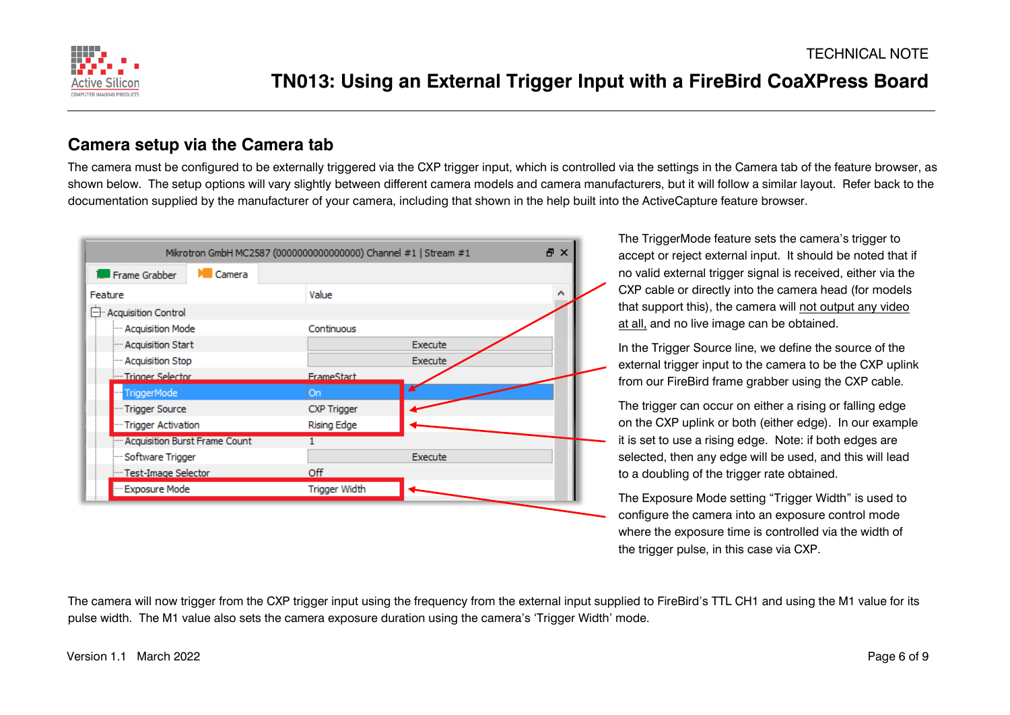

#### **Camera setup via the Camera tab**

The camera must be configured to be externally triggered via the CXP trigger input, which is controlled via the settings in the Camera tab of the feature browser, as shown below. The setup options will vary slightly between different camera models and camera manufacturers, but it will follow a similar layout. Refer back to the documentation supplied by the manufacturer of your camera, including that shown in the help built into the ActiveCapture feature browser.



The TriggerMode feature sets the camera's trigger to accept or reject external input. It should be noted that if no valid external trigger signal is received, either via the CXP cable or directly into the camera head (for models that support this), the camera will not output any video at all, and no live image can be obtained.

In the Trigger Source line, we define the source of the external trigger input to the camera to be the CXP uplink from our FireBird frame grabber using the CXP cable.

The trigger can occur on either a rising or falling edge on the CXP uplink or both (either edge). In our example it is set to use a rising edge. Note: if both edges are selected, then any edge will be used, and this will lead to a doubling of the trigger rate obtained.

The Exposure Mode setting "Trigger Width" is used to configure the camera into an exposure control mode where the exposure time is controlled via the width of the trigger pulse, in this case via CXP.

The camera will now trigger from the CXP trigger input using the frequency from the external input supplied to FireBird's TTL CH1 and using the M1 value for its pulse width. The M1 value also sets the camera exposure duration using the camera's 'Trigger Width' mode.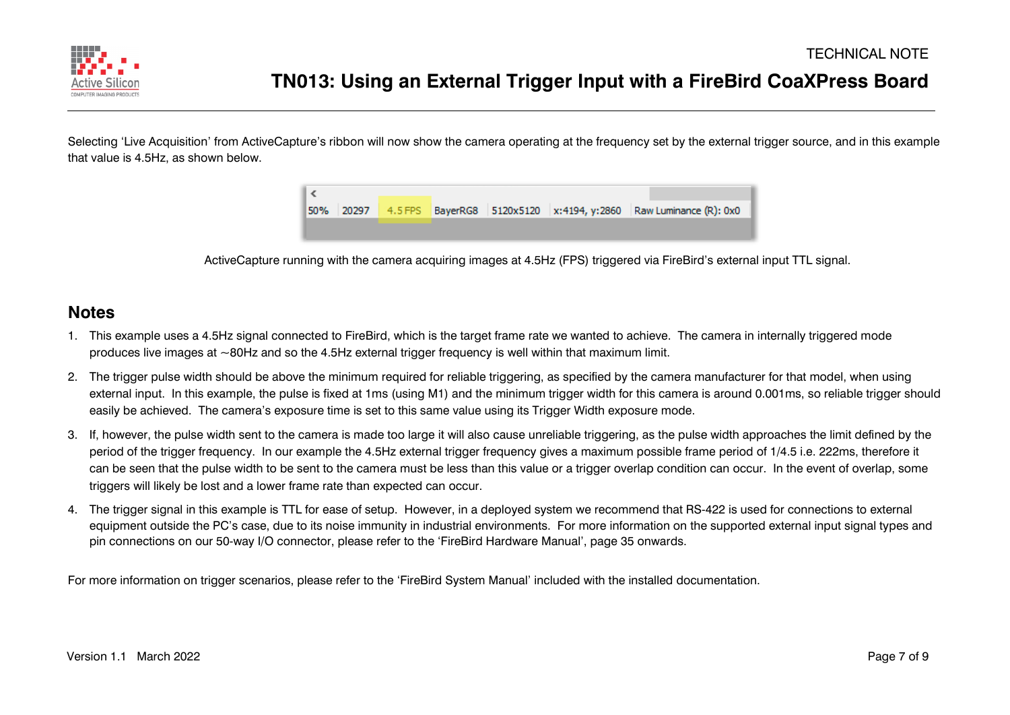

Selecting 'Live Acquisition' from ActiveCapture's ribbon will now show the camera operating at the frequency set by the external trigger source, and in this example that value is 4.5Hz, as shown below.



ActiveCapture running with the camera acquiring images at 4.5Hz (FPS) triggered via FireBird's external input TTL signal.

#### **Notes**

- 1. This example uses a 4.5Hz signal connected to FireBird, which is the target frame rate we wanted to achieve. The camera in internally triggered mode produces live images at ~80Hz and so the 4.5Hz external trigger frequency is well within that maximum limit.
- 2. The trigger pulse width should be above the minimum required for reliable triggering, as specified by the camera manufacturer for that model, when using external input. In this example, the pulse is fixed at 1ms (using M1) and the minimum trigger width for this camera is around 0.001ms, so reliable trigger should easily be achieved. The camera's exposure time is set to this same value using its Trigger Width exposure mode.
- 3. If, however, the pulse width sent to the camera is made too large it will also cause unreliable triggering, as the pulse width approaches the limit defined by the period of the trigger frequency. In our example the 4.5Hz external trigger frequency gives a maximum possible frame period of 1/4.5 i.e. 222ms, therefore it can be seen that the pulse width to be sent to the camera must be less than this value or a trigger overlap condition can occur. In the event of overlap, some triggers will likely be lost and a lower frame rate than expected can occur.
- 4. The trigger signal in this example is TTL for ease of setup. However, in a deployed system we recommend that RS-422 is used for connections to external equipment outside the PC's case, due to its noise immunity in industrial environments. For more information on the supported external input signal types and pin connections on our 50-way I/O connector, please refer to the 'FireBird Hardware Manual', page 35 onwards.

For more information on trigger scenarios, please refer to the 'FireBird System Manual' included with the installed documentation.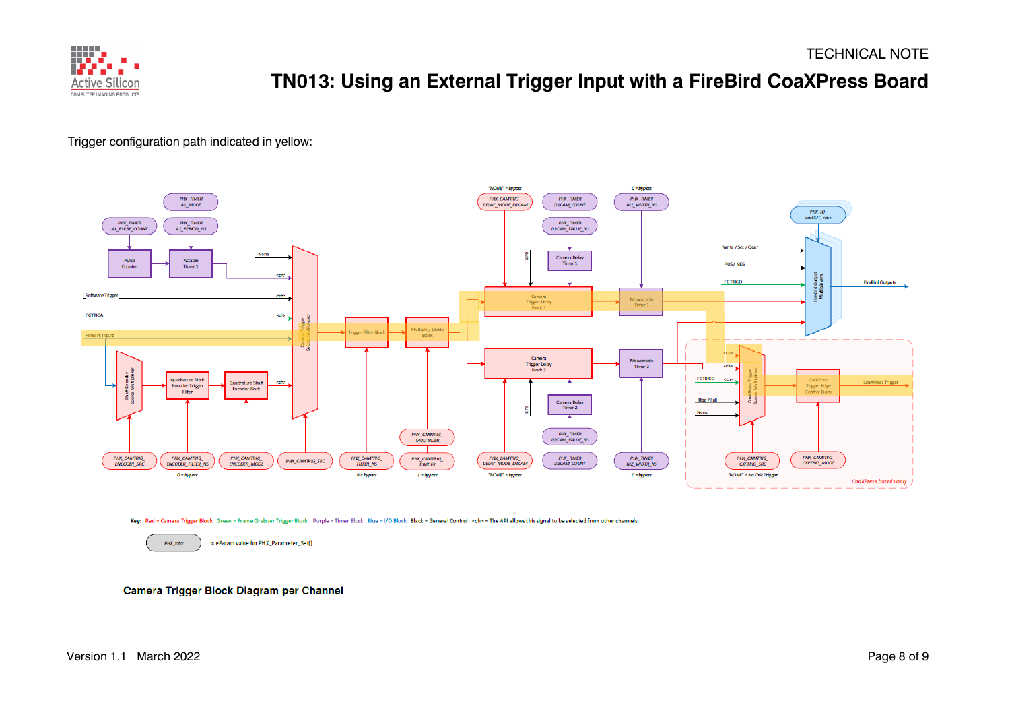

Trigger configuration path indicated in yellow:



Key: Red = Camera Trigger Block Green = Frame Grabber Trigger Block Purple = Timer Block Blue = I/O Block Black = General Control <ch> = The API allows this signal to be selected from other channels

PHX\_xxxx = eParam value for PHX\_Parameter\_Set()

Camera Trigger Block Diagram per Channel